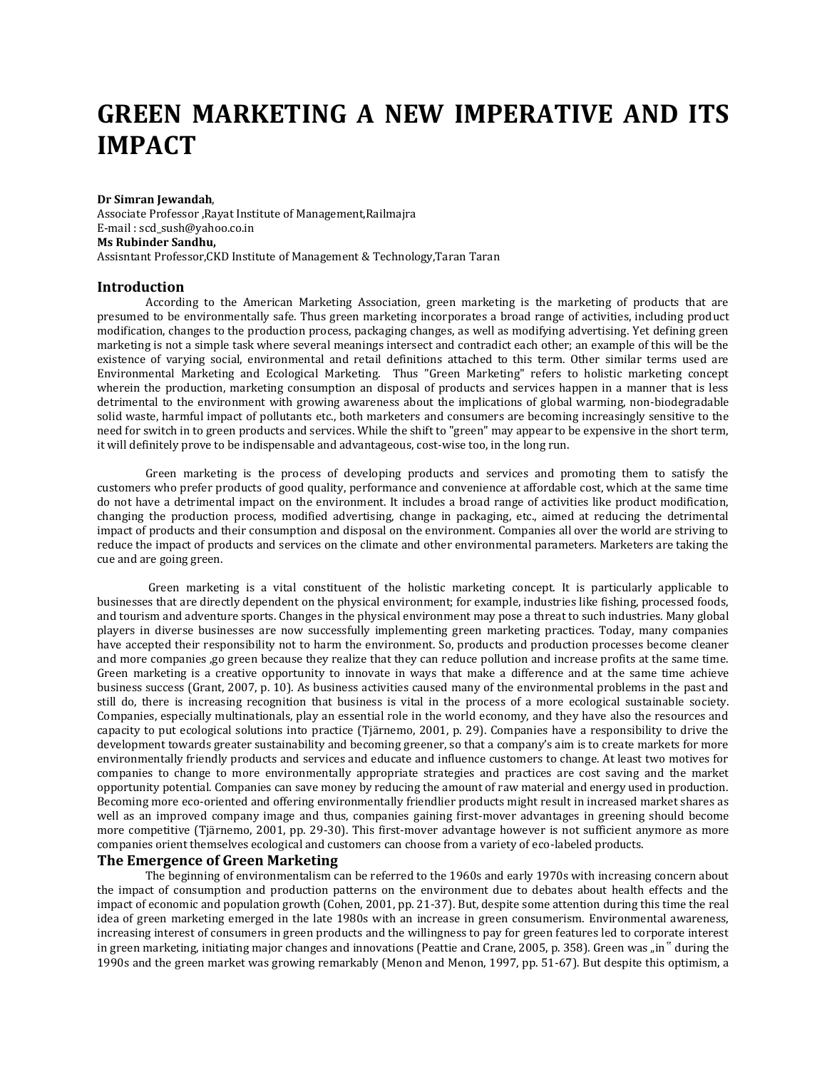# **GREEN MARKETING A NEW IMPERATIVE AND ITS IMPACT**

#### **Dr Simran Jewandah**,

Associate Professor ,Rayat Institute of Management,Railmajra E-mail : scd\_sush@yahoo.co.in **Ms Rubinder Sandhu,**  Assisntant Professor,CKD Institute of Management & Technology,Taran Taran

#### **Introduction**

According to the American Marketing Association, green marketing is the marketing of products that are presumed to be environmentally safe. Thus green marketing incorporates a broad range of activities, including product modification, changes to the production process, packaging changes, as well as modifying advertising. Yet defining green marketing is not a simple task where several meanings intersect and contradict each other; an example of this will be the existence of varying social, environmental and retail definitions attached to this term. Other similar terms used are Environmental Marketing and Ecological Marketing. Thus "Green Marketing" refers to holistic marketing concept wherein the production, marketing consumption an disposal of products and services happen in a manner that is less detrimental to the environment with growing awareness about the implications of global warming, non-biodegradable solid waste, harmful impact of pollutants etc., both marketers and consumers are becoming increasingly sensitive to the need for switch in to green products and services. While the shift to "green" may appear to be expensive in the short term, it will definitely prove to be indispensable and advantageous, cost-wise too, in the long run.

Green marketing is the process of developing products and services and promoting them to satisfy the customers who prefer products of good quality, performance and convenience at affordable cost, which at the same time do not have a detrimental impact on the environment. It includes a broad range of activities like product modification, changing the production process, modified advertising, change in packaging, etc., aimed at reducing the detrimental impact of products and their consumption and disposal on the environment. Companies all over the world are striving to reduce the impact of products and services on the climate and other environmental parameters. Marketers are taking the cue and are going green.

Green marketing is a vital constituent of the holistic marketing concept. It is particularly applicable to businesses that are directly dependent on the physical environment; for example, industries like fishing, processed foods, and tourism and adventure sports. Changes in the physical environment may pose a threat to such industries. Many global players in diverse businesses are now successfully implementing green marketing practices. Today, many companies have accepted their responsibility not to harm the environment. So, products and production processes become cleaner and more companies ,go green because they realize that they can reduce pollution and increase profits at the same time. Green marketing is a creative opportunity to innovate in ways that make a difference and at the same time achieve business success (Grant, 2007, p. 10). As business activities caused many of the environmental problems in the past and still do, there is increasing recognition that business is vital in the process of a more ecological sustainable society. Companies, especially multinationals, play an essential role in the world economy, and they have also the resources and capacity to put ecological solutions into practice (Tjärnemo, 2001, p. 29). Companies have a responsibility to drive the development towards greater sustainability and becoming greener, so that a company's aim is to create markets for more environmentally friendly products and services and educate and influence customers to change. At least two motives for companies to change to more environmentally appropriate strategies and practices are cost saving and the market opportunity potential. Companies can save money by reducing the amount of raw material and energy used in production. Becoming more eco-oriented and offering environmentally friendlier products might result in increased market shares as well as an improved company image and thus, companies gaining first-mover advantages in greening should become more competitive (Tjärnemo, 2001, pp. 29-30). This first-mover advantage however is not sufficient anymore as more companies orient themselves ecological and customers can choose from a variety of eco-labeled products.

### **The Emergence of Green Marketing**

The beginning of environmentalism can be referred to the 1960s and early 1970s with increasing concern about the impact of consumption and production patterns on the environment due to debates about health effects and the impact of economic and population growth (Cohen, 2001, pp. 21-37). But, despite some attention during this time the real idea of green marketing emerged in the late 1980s with an increase in green consumerism. Environmental awareness, increasing interest of consumers in green products and the willingness to pay for green features led to corporate interest in green marketing, initiating major changes and innovations (Peattie and Crane, 2005, p. 358). Green was "in" during the 1990s and the green market was growing remarkably (Menon and Menon, 1997, pp. 51-67). But despite this optimism, a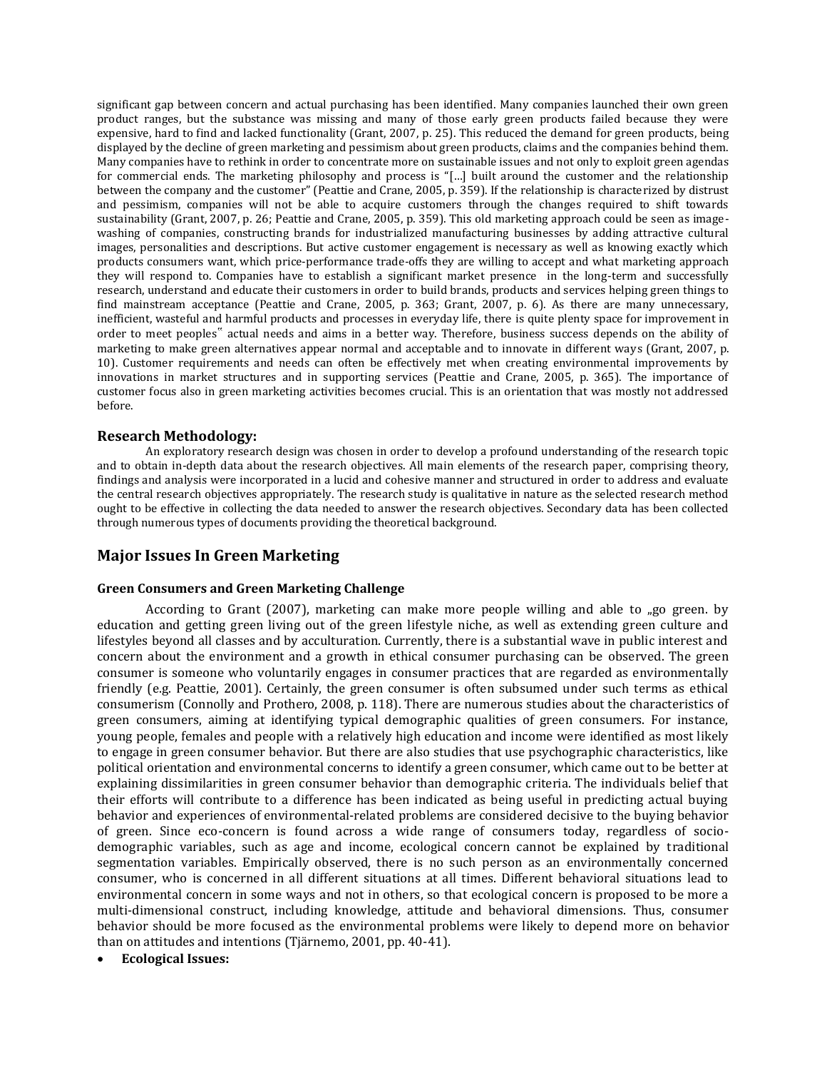significant gap between concern and actual purchasing has been identified. Many companies launched their own green product ranges, but the substance was missing and many of those early green products failed because they were expensive, hard to find and lacked functionality (Grant, 2007, p. 25). This reduced the demand for green products, being displayed by the decline of green marketing and pessimism about green products, claims and the companies behind them. Many companies have to rethink in order to concentrate more on sustainable issues and not only to exploit green agendas for commercial ends. The marketing philosophy and process is "[…] built around the customer and the relationship between the company and the customer" (Peattie and Crane, 2005, p. 359). If the relationship is characterized by distrust and pessimism, companies will not be able to acquire customers through the changes required to shift towards sustainability (Grant, 2007, p. 26; Peattie and Crane, 2005, p. 359). This old marketing approach could be seen as imagewashing of companies, constructing brands for industrialized manufacturing businesses by adding attractive cultural images, personalities and descriptions. But active customer engagement is necessary as well as knowing exactly which products consumers want, which price-performance trade-offs they are willing to accept and what marketing approach they will respond to. Companies have to establish a significant market presence in the long-term and successfully research, understand and educate their customers in order to build brands, products and services helping green things to find mainstream acceptance (Peattie and Crane, 2005, p. 363; Grant, 2007, p. 6). As there are many unnecessary, inefficient, wasteful and harmful products and processes in everyday life, there is quite plenty space for improvement in order to meet peoples" actual needs and aims in a better way. Therefore, business success depends on the ability of marketing to make green alternatives appear normal and acceptable and to innovate in different ways (Grant, 2007, p. 10). Customer requirements and needs can often be effectively met when creating environmental improvements by innovations in market structures and in supporting services (Peattie and Crane, 2005, p. 365). The importance of customer focus also in green marketing activities becomes crucial. This is an orientation that was mostly not addressed before.

# **Research Methodology:**

An exploratory research design was chosen in order to develop a profound understanding of the research topic and to obtain in-depth data about the research objectives. All main elements of the research paper, comprising theory, findings and analysis were incorporated in a lucid and cohesive manner and structured in order to address and evaluate the central research objectives appropriately. The research study is qualitative in nature as the selected research method ought to be effective in collecting the data needed to answer the research objectives. Secondary data has been collected through numerous types of documents providing the theoretical background.

# **Major Issues In Green Marketing**

# **Green Consumers and Green Marketing Challenge**

According to Grant  $(2007)$ , marketing can make more people willing and able to  $n$ go green. by education and getting green living out of the green lifestyle niche, as well as extending green culture and lifestyles beyond all classes and by acculturation. Currently, there is a substantial wave in public interest and concern about the environment and a growth in ethical consumer purchasing can be observed. The green consumer is someone who voluntarily engages in consumer practices that are regarded as environmentally friendly (e.g. Peattie, 2001). Certainly, the green consumer is often subsumed under such terms as ethical consumerism (Connolly and Prothero, 2008, p. 118). There are numerous studies about the characteristics of green consumers, aiming at identifying typical demographic qualities of green consumers. For instance, young people, females and people with a relatively high education and income were identified as most likely to engage in green consumer behavior. But there are also studies that use psychographic characteristics, like political orientation and environmental concerns to identify a green consumer, which came out to be better at explaining dissimilarities in green consumer behavior than demographic criteria. The individuals belief that their efforts will contribute to a difference has been indicated as being useful in predicting actual buying behavior and experiences of environmental-related problems are considered decisive to the buying behavior of green. Since eco-concern is found across a wide range of consumers today, regardless of sociodemographic variables, such as age and income, ecological concern cannot be explained by traditional segmentation variables. Empirically observed, there is no such person as an environmentally concerned consumer, who is concerned in all different situations at all times. Different behavioral situations lead to environmental concern in some ways and not in others, so that ecological concern is proposed to be more a multi-dimensional construct, including knowledge, attitude and behavioral dimensions. Thus, consumer behavior should be more focused as the environmental problems were likely to depend more on behavior than on attitudes and intentions (Tjärnemo, 2001, pp. 40-41).

# **Ecological Issues:**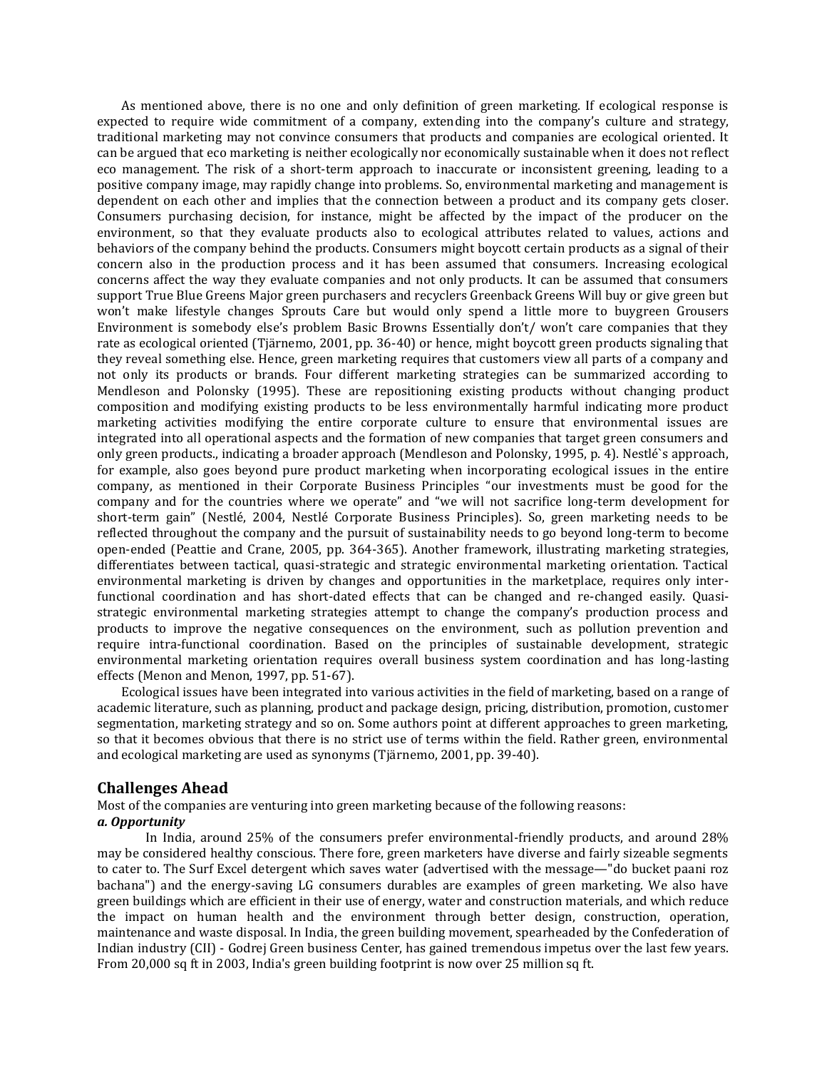As mentioned above, there is no one and only definition of green marketing. If ecological response is expected to require wide commitment of a company, extending into the company's culture and strategy, traditional marketing may not convince consumers that products and companies are ecological oriented. It can be argued that eco marketing is neither ecologically nor economically sustainable when it does not reflect eco management. The risk of a short-term approach to inaccurate or inconsistent greening, leading to a positive company image, may rapidly change into problems. So, environmental marketing and management is dependent on each other and implies that the connection between a product and its company gets closer. Consumers purchasing decision, for instance, might be affected by the impact of the producer on the environment, so that they evaluate products also to ecological attributes related to values, actions and behaviors of the company behind the products. Consumers might boycott certain products as a signal of their concern also in the production process and it has been assumed that consumers. Increasing ecological concerns affect the way they evaluate companies and not only products. It can be assumed that consumers support True Blue Greens Major green purchasers and recyclers Greenback Greens Will buy or give green but won't make lifestyle changes Sprouts Care but would only spend a little more to buygreen Grousers Environment is somebody else's problem Basic Browns Essentially don't/ won't care companies that they rate as ecological oriented (Tjärnemo, 2001, pp. 36-40) or hence, might boycott green products signaling that they reveal something else. Hence, green marketing requires that customers view all parts of a company and not only its products or brands. Four different marketing strategies can be summarized according to Mendleson and Polonsky (1995). These are repositioning existing products without changing product composition and modifying existing products to be less environmentally harmful indicating more product marketing activities modifying the entire corporate culture to ensure that environmental issues are integrated into all operational aspects and the formation of new companies that target green consumers and only green products., indicating a broader approach (Mendleson and Polonsky, 1995, p. 4). Nestlé`s approach, for example, also goes beyond pure product marketing when incorporating ecological issues in the entire company, as mentioned in their Corporate Business Principles "our investments must be good for the company and for the countries where we operate" and "we will not sacrifice long-term development for short-term gain" (Nestlé, 2004, Nestlé Corporate Business Principles). So, green marketing needs to be reflected throughout the company and the pursuit of sustainability needs to go beyond long-term to become open-ended (Peattie and Crane, 2005, pp. 364-365). Another framework, illustrating marketing strategies, differentiates between tactical, quasi-strategic and strategic environmental marketing orientation. Tactical environmental marketing is driven by changes and opportunities in the marketplace, requires only interfunctional coordination and has short-dated effects that can be changed and re-changed easily. Quasistrategic environmental marketing strategies attempt to change the company's production process and products to improve the negative consequences on the environment, such as pollution prevention and require intra-functional coordination. Based on the principles of sustainable development, strategic environmental marketing orientation requires overall business system coordination and has long-lasting effects (Menon and Menon, 1997, pp. 51-67).

Ecological issues have been integrated into various activities in the field of marketing, based on a range of academic literature, such as planning, product and package design, pricing, distribution, promotion, customer segmentation, marketing strategy and so on. Some authors point at different approaches to green marketing, so that it becomes obvious that there is no strict use of terms within the field. Rather green, environmental and ecological marketing are used as synonyms (Tjärnemo, 2001, pp. 39-40).

Most of the companies are venturing into green marketing because of the following reasons: *a. Opportunity*

In India, around 25% of the consumers prefer environmental-friendly products, and around 28% may be considered healthy conscious. There fore, green marketers have diverse and fairly sizeable segments to cater to. The Surf Excel detergent which saves water (advertised with the message—"do bucket paani roz bachana") and the energy-saving LG consumers durables are examples of green marketing. We also have green buildings which are efficient in their use of energy, water and construction materials, and which reduce the impact on human health and the environment through better design, construction, operation, maintenance and waste disposal. In India, the green building movement, spearheaded by the Confederation of Indian industry (CII) - Godrej Green business Center, has gained tremendous impetus over the last few years. From 20,000 sq ft in 2003, India's green building footprint is now over 25 million sq ft.

# **Challenges Ahead**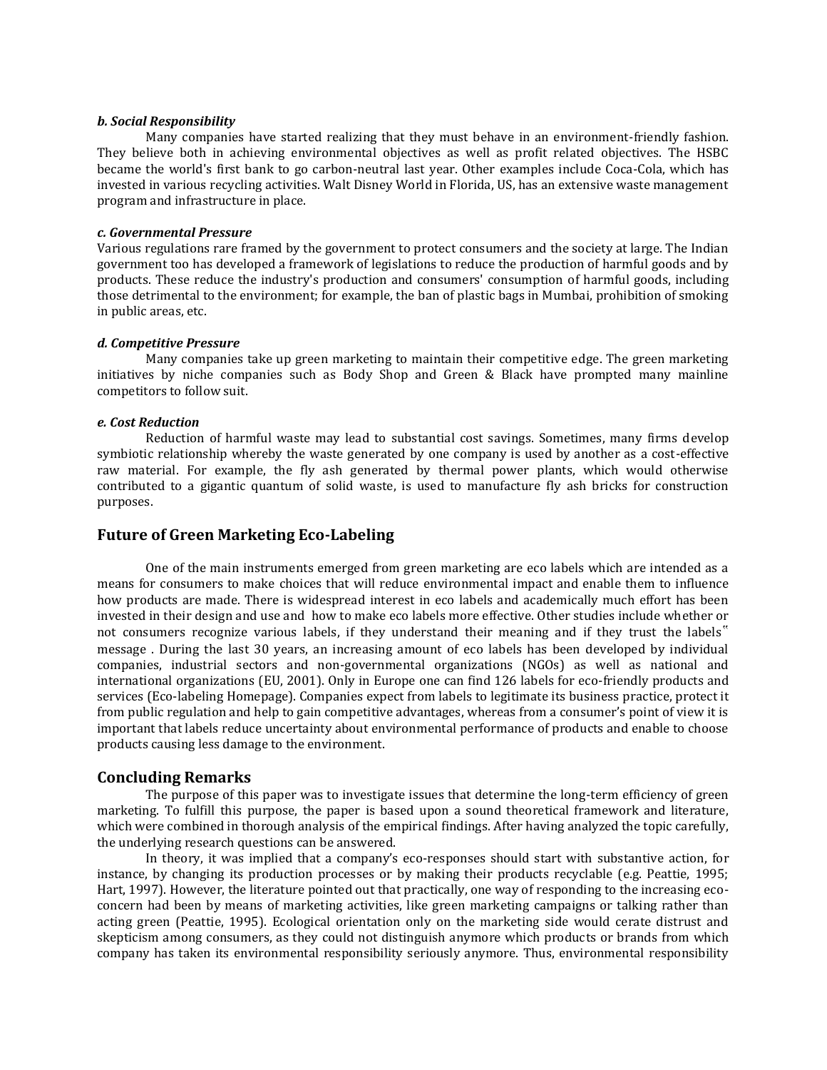#### *b. Social Responsibility*

Many companies have started realizing that they must behave in an environment-friendly fashion. They believe both in achieving environmental objectives as well as profit related objectives. The HSBC became the world's first bank to go carbon-neutral last year. Other examples include Coca-Cola, which has invested in various recycling activities. Walt Disney World in Florida, US, has an extensive waste management program and infrastructure in place.

# *c. Governmental Pressure*

Various regulations rare framed by the government to protect consumers and the society at large. The Indian government too has developed a framework of legislations to reduce the production of harmful goods and by products. These reduce the industry's production and consumers' consumption of harmful goods, including those detrimental to the environment; for example, the ban of plastic bags in Mumbai, prohibition of smoking in public areas, etc.

# *d. Competitive Pressure*

Many companies take up green marketing to maintain their competitive edge. The green marketing initiatives by niche companies such as Body Shop and Green & Black have prompted many mainline competitors to follow suit.

### *e. Cost Reduction*

Reduction of harmful waste may lead to substantial cost savings. Sometimes, many firms develop symbiotic relationship whereby the waste generated by one company is used by another as a cost-effective raw material. For example, the fly ash generated by thermal power plants, which would otherwise contributed to a gigantic quantum of solid waste, is used to manufacture fly ash bricks for construction purposes.

# **Future of Green Marketing Eco-Labeling**

One of the main instruments emerged from green marketing are eco labels which are intended as a means for consumers to make choices that will reduce environmental impact and enable them to influence how products are made. There is widespread interest in eco labels and academically much effort has been invested in their design and use and how to make eco labels more effective. Other studies include whether or not consumers recognize various labels, if they understand their meaning and if they trust the labels" message . During the last 30 years, an increasing amount of eco labels has been developed by individual companies, industrial sectors and non-governmental organizations (NGOs) as well as national and international organizations (EU, 2001). Only in Europe one can find 126 labels for eco-friendly products and services (Eco-labeling Homepage). Companies expect from labels to legitimate its business practice, protect it from public regulation and help to gain competitive advantages, whereas from a consumer's point of view it is important that labels reduce uncertainty about environmental performance of products and enable to choose products causing less damage to the environment.

### **Concluding Remarks**

The purpose of this paper was to investigate issues that determine the long-term efficiency of green marketing. To fulfill this purpose, the paper is based upon a sound theoretical framework and literature, which were combined in thorough analysis of the empirical findings. After having analyzed the topic carefully, the underlying research questions can be answered.

In theory, it was implied that a company's eco-responses should start with substantive action, for instance, by changing its production processes or by making their products recyclable (e.g. Peattie, 1995; Hart, 1997). However, the literature pointed out that practically, one way of responding to the increasing ecoconcern had been by means of marketing activities, like green marketing campaigns or talking rather than acting green (Peattie, 1995). Ecological orientation only on the marketing side would cerate distrust and skepticism among consumers, as they could not distinguish anymore which products or brands from which company has taken its environmental responsibility seriously anymore. Thus, environmental responsibility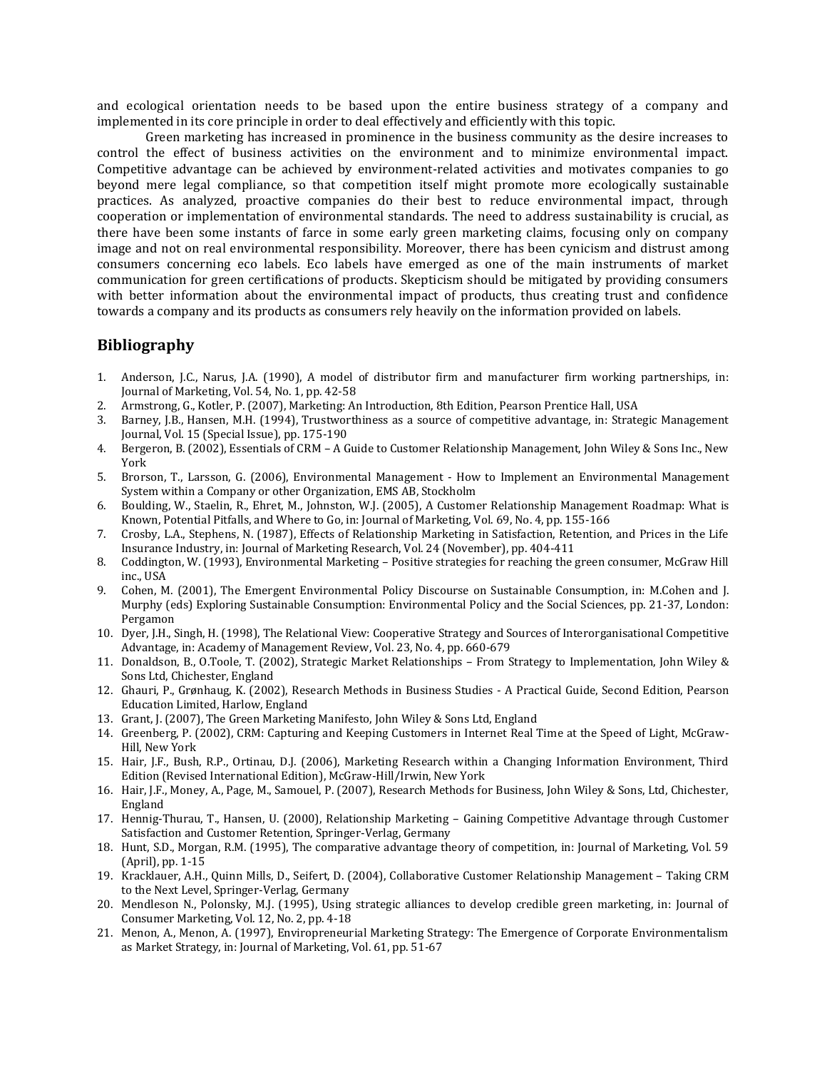and ecological orientation needs to be based upon the entire business strategy of a company and implemented in its core principle in order to deal effectively and efficiently with this topic.

Green marketing has increased in prominence in the business community as the desire increases to control the effect of business activities on the environment and to minimize environmental impact. Competitive advantage can be achieved by environment-related activities and motivates companies to go beyond mere legal compliance, so that competition itself might promote more ecologically sustainable practices. As analyzed, proactive companies do their best to reduce environmental impact, through cooperation or implementation of environmental standards. The need to address sustainability is crucial, as there have been some instants of farce in some early green marketing claims, focusing only on company image and not on real environmental responsibility. Moreover, there has been cynicism and distrust among consumers concerning eco labels. Eco labels have emerged as one of the main instruments of market communication for green certifications of products. Skepticism should be mitigated by providing consumers with better information about the environmental impact of products, thus creating trust and confidence towards a company and its products as consumers rely heavily on the information provided on labels.

# **Bibliography**

- 1. Anderson, J.C., Narus, J.A. (1990), A model of distributor firm and manufacturer firm working partnerships, in: Journal of Marketing, Vol. 54, No. 1, pp. 42-58
- 2. Armstrong, G., Kotler, P. (2007), Marketing: An Introduction, 8th Edition, Pearson Prentice Hall, USA
- 3. Barney, J.B., Hansen, M.H. (1994), Trustworthiness as a source of competitive advantage, in: Strategic Management Journal, Vol. 15 (Special Issue), pp. 175-190
- 4. Bergeron, B. (2002), Essentials of CRM A Guide to Customer Relationship Management, John Wiley & Sons Inc., New York
- 5. Brorson, T., Larsson, G. (2006), Environmental Management How to Implement an Environmental Management System within a Company or other Organization, EMS AB, Stockholm
- 6. Boulding, W., Staelin, R., Ehret, M., Johnston, W.J. (2005), A Customer Relationship Management Roadmap: What is Known, Potential Pitfalls, and Where to Go, in: Journal of Marketing, Vol. 69, No. 4, pp. 155-166
- 7. Crosby, L.A., Stephens, N. (1987), Effects of Relationship Marketing in Satisfaction, Retention, and Prices in the Life Insurance Industry, in: Journal of Marketing Research, Vol. 24 (November), pp. 404-411
- 8. Coddington, W. (1993), Environmental Marketing Positive strategies for reaching the green consumer, McGraw Hill inc., USA
- 9. Cohen, M. (2001), The Emergent Environmental Policy Discourse on Sustainable Consumption, in: M.Cohen and J. Murphy (eds) Exploring Sustainable Consumption: Environmental Policy and the Social Sciences, pp. 21-37, London: Pergamon
- 10. Dyer, J.H., Singh, H. (1998), The Relational View: Cooperative Strategy and Sources of Interorganisational Competitive Advantage, in: Academy of Management Review, Vol. 23, No. 4, pp. 660-679
- 11. Donaldson, B., O.Toole, T. (2002), Strategic Market Relationships From Strategy to Implementation, John Wiley & Sons Ltd, Chichester, England
- 12. Ghauri, P., Grønhaug, K. (2002), Research Methods in Business Studies A Practical Guide, Second Edition, Pearson Education Limited, Harlow, England
- 13. Grant, J. (2007), The Green Marketing Manifesto, John Wiley & Sons Ltd, England
- 14. Greenberg, P. (2002), CRM: Capturing and Keeping Customers in Internet Real Time at the Speed of Light, McGraw-Hill, New York
- 15. Hair, J.F., Bush, R.P., Ortinau, D.J. (2006), Marketing Research within a Changing Information Environment, Third Edition (Revised International Edition), McGraw-Hill/Irwin, New York
- 16. Hair, J.F., Money, A., Page, M., Samouel, P. (2007), Research Methods for Business, John Wiley & Sons, Ltd, Chichester, England
- 17. Hennig-Thurau, T., Hansen, U. (2000), Relationship Marketing Gaining Competitive Advantage through Customer Satisfaction and Customer Retention, Springer-Verlag, Germany
- 18. Hunt, S.D., Morgan, R.M. (1995), The comparative advantage theory of competition, in: Journal of Marketing, Vol. 59 (April), pp. 1-15
- 19. Kracklauer, A.H., Quinn Mills, D., Seifert, D. (2004), Collaborative Customer Relationship Management Taking CRM to the Next Level, Springer-Verlag, Germany
- 20. Mendleson N., Polonsky, M.J. (1995), Using strategic alliances to develop credible green marketing, in: Journal of Consumer Marketing, Vol. 12, No. 2, pp. 4-18
- 21. Menon, A., Menon, A. (1997), Enviropreneurial Marketing Strategy: The Emergence of Corporate Environmentalism as Market Strategy, in: Journal of Marketing, Vol. 61, pp. 51-67